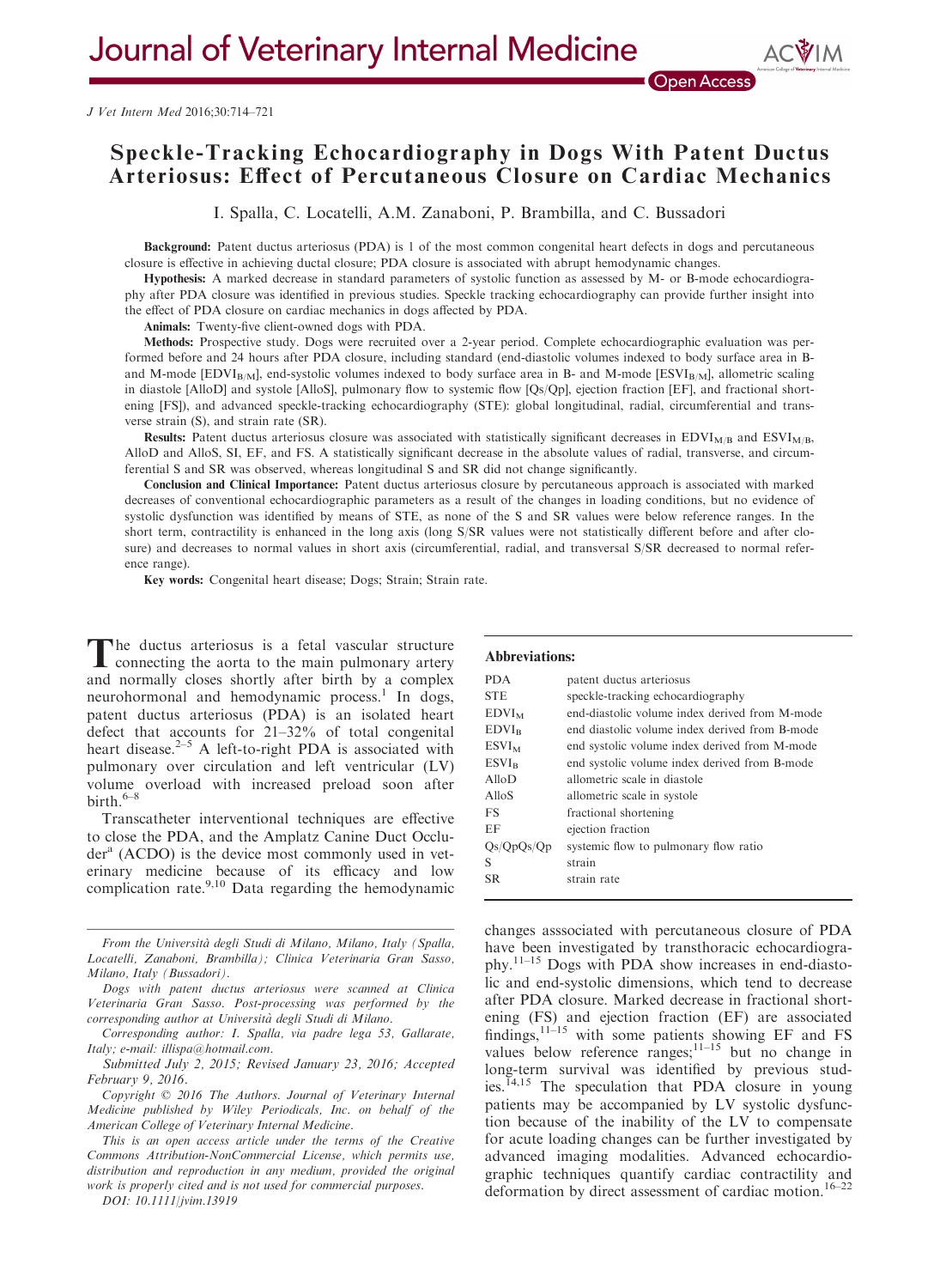# Speckle-Tracking Echocardiography in Dogs With Patent Ductus Arteriosus: Effect of Percutaneous Closure on Cardiac Mechanics

I. Spalla, C. Locatelli, A.M. Zanaboni, P. Brambilla, and C. Bussadori

Background: Patent ductus arteriosus (PDA) is 1 of the most common congenital heart defects in dogs and percutaneous closure is effective in achieving ductal closure; PDA closure is associated with abrupt hemodynamic changes.

Hypothesis: A marked decrease in standard parameters of systolic function as assessed by M- or B-mode echocardiography after PDA closure was identified in previous studies. Speckle tracking echocardiography can provide further insight into the effect of PDA closure on cardiac mechanics in dogs affected by PDA.

Animals: Twenty-five client-owned dogs with PDA.

Methods: Prospective study. Dogs were recruited over a 2-year period. Complete echocardiographic evaluation was performed before and 24 hours after PDA closure, including standard (end-diastolic volumes indexed to body surface area in Band M-mode  $[EDVI<sub>B/M</sub>]$ , end-systolic volumes indexed to body surface area in B- and M-mode  $[ESVI<sub>B/M</sub>]$ , allometric scaling in diastole [AlloD] and systole [AlloS], pulmonary flow to systemic flow [Qs/Qp], ejection fraction [EF], and fractional shortening [FS]), and advanced speckle-tracking echocardiography (STE): global longitudinal, radial, circumferential and transverse strain (S), and strain rate (SR).

**Results:** Patent ductus arteriosus closure was associated with statistically significant decreases in  $EDVI_{MR}$  and  $ESVI_{MR}$ AlloD and AlloS, SI, EF, and FS. A statistically significant decrease in the absolute values of radial, transverse, and circumferential S and SR was observed, whereas longitudinal S and SR did not change significantly.

Conclusion and Clinical Importance: Patent ductus arteriosus closure by percutaneous approach is associated with marked decreases of conventional echocardiographic parameters as a result of the changes in loading conditions, but no evidence of systolic dysfunction was identified by means of STE, as none of the S and SR values were below reference ranges. In the short term, contractility is enhanced in the long axis (long S/SR values were not statistically different before and after closure) and decreases to normal values in short axis (circumferential, radial, and transversal S/SR decreased to normal reference range).

Key words: Congenital heart disease; Dogs; Strain; Strain rate.

The ductus arteriosus is a fetal vascular structure connecting the aorta to the main pulmonary artery and normally closes shortly after birth by a complex neurohormonal and hemodynamic process.<sup>1</sup> In dogs, patent ductus arteriosus (PDA) is an isolated heart defect that accounts for 21–32% of total congenital heart disease. $2-5$  A left-to-right PDA is associated with pulmonary over circulation and left ventricular (LV) volume overload with increased preload soon after birth. $6-8$ 

Transcatheter interventional techniques are effective to close the PDA, and the Amplatz Canine Duct Occlu $der<sup>a</sup> (ACDO)$  is the device most commonly used in veterinary medicine because of its efficacy and low complication rate. $9,10$  Data regarding the hemodynamic

From the Universita degli Studi di Milano, Milano, Italy (Spalla, Locatelli, Zanaboni, Brambilla); Clinica Veterinaria Gran Sasso, Milano, Italy (Bussadori).

Dogs with patent ductus arteriosus were scanned at Clinica Veterinaria Gran Sasso. Post-processing was performed by the corresponding author at Universita degli Studi di Milano.

Corresponding author: I. Spalla, via padre lega 53, Gallarate, Italy; e-mail: illispa@hotmail.com.

Submitted July 2, 2015; Revised January 23, 2016; Accepted February 9, 2016.

Copyright © 2016 The Authors. Journal of Veterinary Internal Medicine published by Wiley Periodicals, Inc. on behalf of the American College of Veterinary Internal Medicine.

DOI: 10.1111/jvim.13919

#### Abbreviations:

| <b>PDA</b>              | patent ductus arteriosus                       |
|-------------------------|------------------------------------------------|
| <b>STE</b>              | speckle-tracking echocardiography              |
| $EDVI_M$                | end-diastolic volume index derived from M-mode |
| EDVI <sub>B</sub>       | end diastolic volume index derived from B-mode |
| <b>ESVI<sub>M</sub></b> | end systolic volume index derived from M-mode  |
| ESVI <sub>B</sub>       | end systolic volume index derived from B-mode  |
| AlloD                   | allometric scale in diastole                   |
| AlloS                   | allometric scale in systole                    |
| FS                      | fractional shortening                          |
| EF                      | ejection fraction                              |
| Qs/QpQs/Qp              | systemic flow to pulmonary flow ratio          |
| S                       | strain                                         |
| SR.                     | strain rate                                    |
|                         |                                                |

changes asssociated with percutaneous closure of PDA have been investigated by transthoracic echocardiography.11–<sup>15</sup> Dogs with PDA show increases in end-diastolic and end-systolic dimensions, which tend to decrease after PDA closure. Marked decrease in fractional shortening (FS) and ejection fraction (EF) are associated findings,  $11-15$  with some patients showing EF and FS values below reference ranges; $\frac{11-15}{11}$  but no change in long-term survival was identified by previous studies.<sup>14,15</sup> The speculation that PDA closure in young patients may be accompanied by LV systolic dysfunction because of the inability of the LV to compensate for acute loading changes can be further investigated by advanced imaging modalities. Advanced echocardiographic techniques quantify cardiac contractility and deformation by direct assessment of cardiac motion.<sup>16–22</sup>

This is an open access article under the terms of the [Creative](http://creativecommons.org/licenses/by-nc/4.0/) [Commons Attribution-NonCommercial](http://creativecommons.org/licenses/by-nc/4.0/) License, which permits use, distribution and reproduction in any medium, provided the original work is properly cited and is not used for commercial purposes.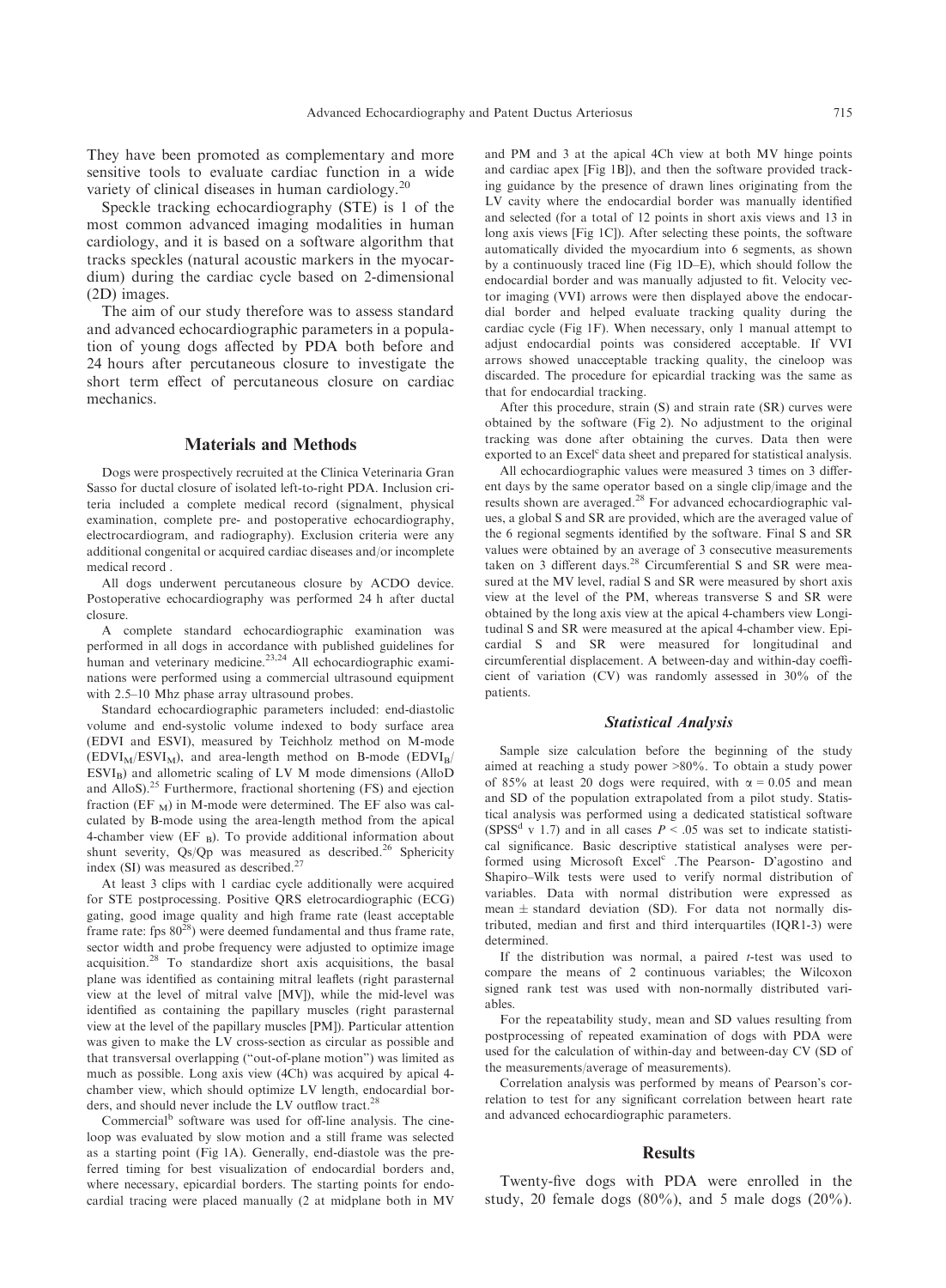They have been promoted as complementary and more sensitive tools to evaluate cardiac function in a wide variety of clinical diseases in human cardiology.<sup>20</sup>

Speckle tracking echocardiography (STE) is 1 of the most common advanced imaging modalities in human cardiology, and it is based on a software algorithm that tracks speckles (natural acoustic markers in the myocardium) during the cardiac cycle based on 2-dimensional (2D) images.

The aim of our study therefore was to assess standard and advanced echocardiographic parameters in a population of young dogs affected by PDA both before and 24 hours after percutaneous closure to investigate the short term effect of percutaneous closure on cardiac mechanics.

#### Materials and Methods

Dogs were prospectively recruited at the Clinica Veterinaria Gran Sasso for ductal closure of isolated left-to-right PDA. Inclusion criteria included a complete medical record (signalment, physical examination, complete pre- and postoperative echocardiography, electrocardiogram, and radiography). Exclusion criteria were any additional congenital or acquired cardiac diseases and/or incomplete medical record .

All dogs underwent percutaneous closure by ACDO device. Postoperative echocardiography was performed 24 h after ductal closure.

A complete standard echocardiographic examination was performed in all dogs in accordance with published guidelines for human and veterinary medicine.<sup>23,24</sup> All echocardiographic examinations were performed using a commercial ultrasound equipment with 2.5–10 Mhz phase array ultrasound probes.

Standard echocardiographic parameters included: end-diastolic volume and end-systolic volume indexed to body surface area (EDVI and ESVI), measured by Teichholz method on M-mode  $(EDVI<sub>M</sub>/ESVI<sub>M</sub>)$ , and area-length method on B-mode  $(EDVI<sub>B</sub>/S)$  $ESVI<sub>B</sub>$ ) and allometric scaling of LV M mode dimensions (AlloD and AlloS).25 Furthermore, fractional shortening (FS) and ejection fraction (EF  $_M$ ) in M-mode were determined. The EF also was calculated by B-mode using the area-length method from the apical 4-chamber view (EF  $_B$ ). To provide additional information about shunt severity,  $Qs/Qp$  was measured as described.<sup>26</sup> Sphericity index (SI) was measured as described.<sup>27</sup>

At least 3 clips with 1 cardiac cycle additionally were acquired for STE postprocessing. Positive QRS eletrocardiographic (ECG) gating, good image quality and high frame rate (least acceptable frame rate: fps  $80^{28}$ ) were deemed fundamental and thus frame rate, sector width and probe frequency were adjusted to optimize image acquisition.28 To standardize short axis acquisitions, the basal plane was identified as containing mitral leaflets (right parasternal view at the level of mitral valve [MV]), while the mid-level was identified as containing the papillary muscles (right parasternal view at the level of the papillary muscles [PM]). Particular attention was given to make the LV cross-section as circular as possible and that transversal overlapping ("out-of-plane motion") was limited as much as possible. Long axis view (4Ch) was acquired by apical 4 chamber view, which should optimize LV length, endocardial borders, and should never include the LV outflow tract.<sup>28</sup>

Commercial $^{\rm b}$  software was used for off-line analysis. The cineloop was evaluated by slow motion and a still frame was selected as a starting point (Fig 1A). Generally, end-diastole was the preferred timing for best visualization of endocardial borders and, where necessary, epicardial borders. The starting points for endocardial tracing were placed manually (2 at midplane both in MV

and PM and 3 at the apical 4Ch view at both MV hinge points and cardiac apex [Fig 1B]), and then the software provided tracking guidance by the presence of drawn lines originating from the LV cavity where the endocardial border was manually identified and selected (for a total of 12 points in short axis views and 13 in long axis views [Fig 1C]). After selecting these points, the software automatically divided the myocardium into 6 segments, as shown by a continuously traced line (Fig 1D–E), which should follow the endocardial border and was manually adjusted to fit. Velocity vector imaging (VVI) arrows were then displayed above the endocardial border and helped evaluate tracking quality during the cardiac cycle (Fig 1F). When necessary, only 1 manual attempt to adjust endocardial points was considered acceptable. If VVI arrows showed unacceptable tracking quality, the cineloop was discarded. The procedure for epicardial tracking was the same as that for endocardial tracking.

After this procedure, strain (S) and strain rate (SR) curves were obtained by the software (Fig 2). No adjustment to the original tracking was done after obtaining the curves. Data then were exported to an Excel<sup>c</sup> data sheet and prepared for statistical analysis.

All echocardiographic values were measured 3 times on 3 different days by the same operator based on a single clip/image and the results shown are averaged.<sup>28</sup> For advanced echocardiographic values, a global S and SR are provided, which are the averaged value of the 6 regional segments identified by the software. Final S and SR values were obtained by an average of 3 consecutive measurements taken on 3 different days.<sup>28</sup> Circumferential S and SR were measured at the MV level, radial S and SR were measured by short axis view at the level of the PM, whereas transverse S and SR were obtained by the long axis view at the apical 4-chambers view Longitudinal S and SR were measured at the apical 4-chamber view. Epicardial S and SR were measured for longitudinal and circumferential displacement. A between-day and within-day coefficient of variation (CV) was randomly assessed in 30% of the patients.

## Statistical Analysis

Sample size calculation before the beginning of the study aimed at reaching a study power >80%. To obtain a study power of 85% at least 20 dogs were required, with  $\alpha = 0.05$  and mean and SD of the population extrapolated from a pilot study. Statistical analysis was performed using a dedicated statistical software (SPSS<sup>d</sup> v 1.7) and in all cases  $P \le 0.05$  was set to indicate statistical significance. Basic descriptive statistical analyses were performed using Microsoft Excel<sup>c</sup> .The Pearson- D'agostino and Shapiro–Wilk tests were used to verify normal distribution of variables. Data with normal distribution were expressed as mean  $\pm$  standard deviation (SD). For data not normally distributed, median and first and third interquartiles (IQR1-3) were determined.

If the distribution was normal, a paired  $t$ -test was used to compare the means of 2 continuous variables; the Wilcoxon signed rank test was used with non-normally distributed variables.

For the repeatability study, mean and SD values resulting from postprocessing of repeated examination of dogs with PDA were used for the calculation of within-day and between-day CV (SD of the measurements/average of measurements).

Correlation analysis was performed by means of Pearson's correlation to test for any significant correlation between heart rate and advanced echocardiographic parameters.

#### Results

Twenty-five dogs with PDA were enrolled in the study, 20 female dogs  $(80\%)$ , and 5 male dogs  $(20\%)$ .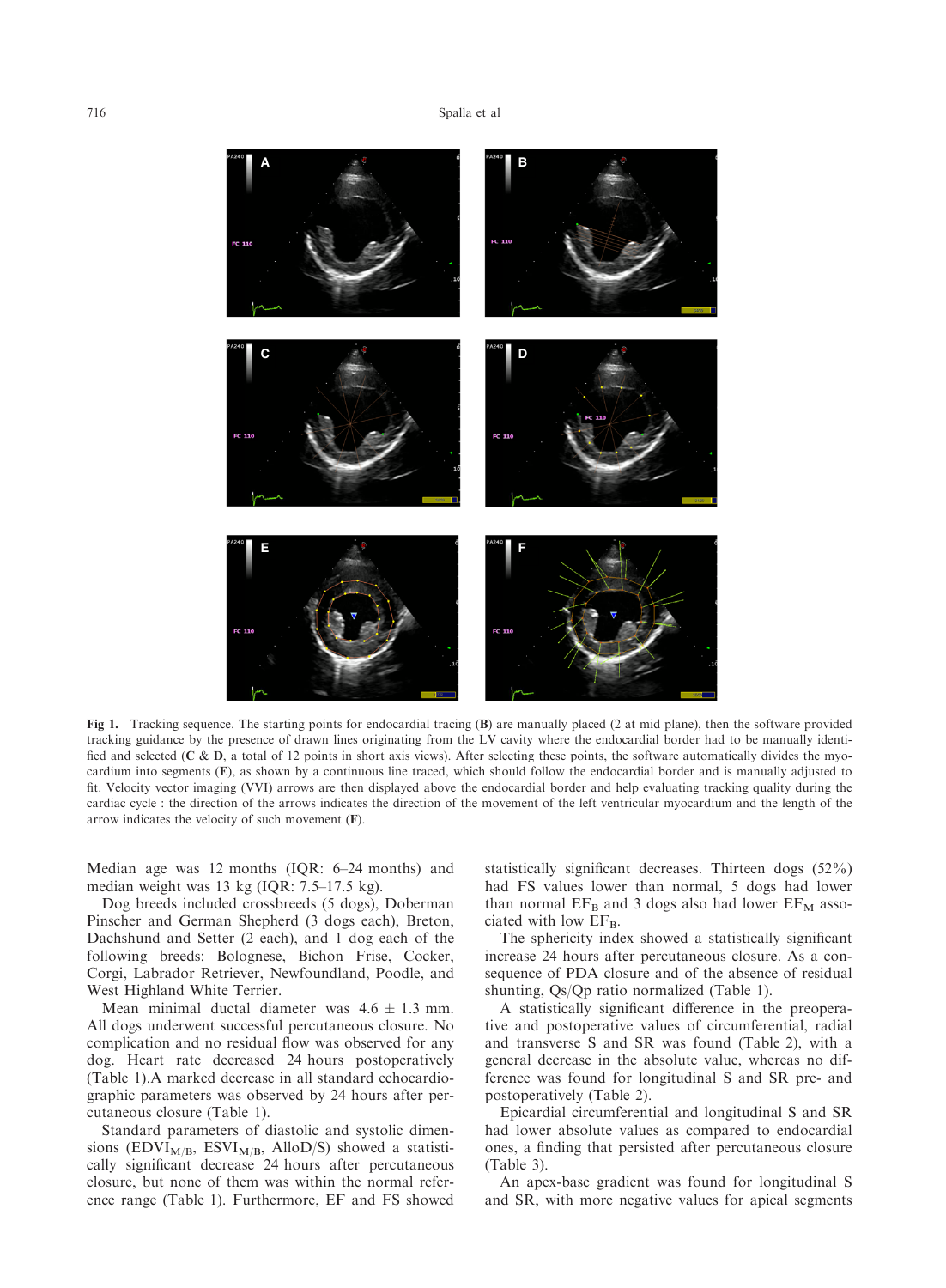#### 716 Spalla et al



Fig 1. Tracking sequence. The starting points for endocardial tracing (B) are manually placed (2 at mid plane), then the software provided tracking guidance by the presence of drawn lines originating from the LV cavity where the endocardial border had to be manually identified and selected (C & D, a total of 12 points in short axis views). After selecting these points, the software automatically divides the myocardium into segments (E), as shown by a continuous line traced, which should follow the endocardial border and is manually adjusted to fit. Velocity vector imaging (VVI) arrows are then displayed above the endocardial border and help evaluating tracking quality during the cardiac cycle : the direction of the arrows indicates the direction of the movement of the left ventricular myocardium and the length of the arrow indicates the velocity of such movement (F).

Median age was 12 months (IQR: 6–24 months) and median weight was 13 kg (IQR: 7.5–17.5 kg).

Dog breeds included crossbreeds (5 dogs), Doberman Pinscher and German Shepherd (3 dogs each), Breton, Dachshund and Setter (2 each), and 1 dog each of the following breeds: Bolognese, Bichon Frise, Cocker, Corgi, Labrador Retriever, Newfoundland, Poodle, and West Highland White Terrier.

Mean minimal ductal diameter was  $4.6 \pm 1.3$  mm. All dogs underwent successful percutaneous closure. No complication and no residual flow was observed for any dog. Heart rate decreased 24 hours postoperatively (Table 1).A marked decrease in all standard echocardiographic parameters was observed by 24 hours after percutaneous closure (Table 1).

Standard parameters of diastolic and systolic dimensions (EDVI<sub>M/B</sub>, ESVI<sub>M/B</sub>, AlloD/S) showed a statistically significant decrease 24 hours after percutaneous closure, but none of them was within the normal reference range (Table 1). Furthermore, EF and FS showed statistically significant decreases. Thirteen dogs (52%) had FS values lower than normal, 5 dogs had lower than normal  $EF_B$  and 3 dogs also had lower  $EF_M$  associated with low  $EF_B$ .

The sphericity index showed a statistically significant increase 24 hours after percutaneous closure. As a consequence of PDA closure and of the absence of residual shunting, Qs/Qp ratio normalized (Table 1).

A statistically significant difference in the preoperative and postoperative values of circumferential, radial and transverse S and SR was found (Table 2), with a general decrease in the absolute value, whereas no difference was found for longitudinal S and SR pre- and postoperatively (Table 2).

Epicardial circumferential and longitudinal S and SR had lower absolute values as compared to endocardial ones, a finding that persisted after percutaneous closure (Table 3).

An apex-base gradient was found for longitudinal S and SR, with more negative values for apical segments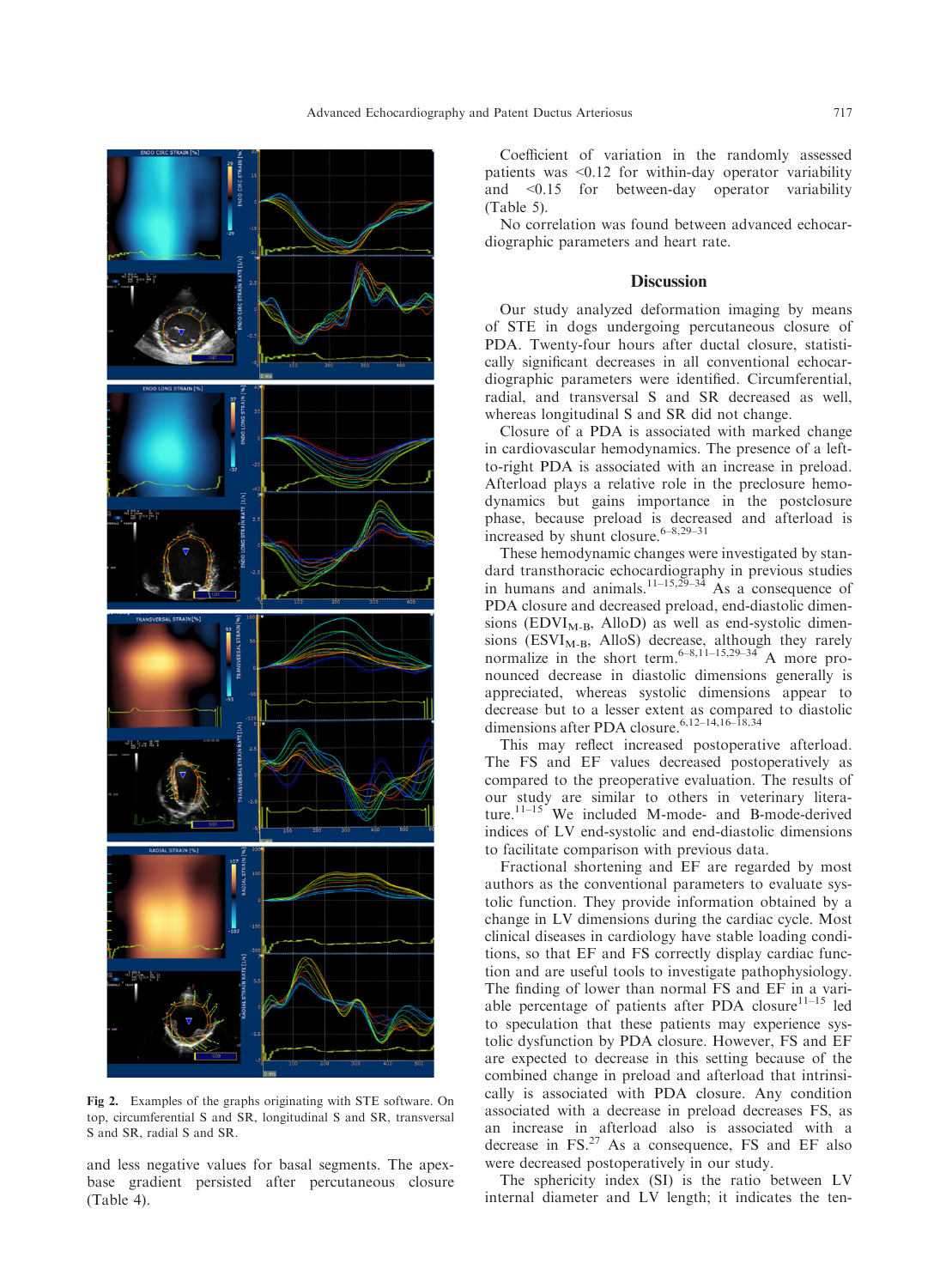

Fig 2. Examples of the graphs originating with STE software. On top, circumferential S and SR, longitudinal S and SR, transversal S and SR, radial S and SR.

and less negative values for basal segments. The apexbase gradient persisted after percutaneous closure (Table 4).

Coefficient of variation in the randomly assessed patients was <0.12 for within-day operator variability and <0.15 for between-day operator variability (Table 5).

No correlation was found between advanced echocardiographic parameters and heart rate.

## **Discussion**

Our study analyzed deformation imaging by means of STE in dogs undergoing percutaneous closure of PDA. Twenty-four hours after ductal closure, statistically significant decreases in all conventional echocardiographic parameters were identified. Circumferential, radial, and transversal S and SR decreased as well, whereas longitudinal S and SR did not change.

Closure of a PDA is associated with marked change in cardiovascular hemodynamics. The presence of a leftto-right PDA is associated with an increase in preload. Afterload plays a relative role in the preclosure hemodynamics but gains importance in the postclosure phase, because preload is decreased and afterload is increased by shunt closure. $6-8,29-31$ 

These hemodynamic changes were investigated by standard transthoracic echocardiography in previous studies in humans and animals.<sup>11–15,29–34</sup> As a consequence of PDA closure and decreased preload, end-diastolic dimensions ( $EDVI<sub>M-B</sub>$ ,  $AlloD$ ) as well as end-systolic dimensions ( $ESVI<sub>M-B</sub>$ , AlloS) decrease, although they rarely normalize in the short term.<sup>6–8,11–15,29–34</sup> A more pronounced decrease in diastolic dimensions generally is appreciated, whereas systolic dimensions appear to decrease but to a lesser extent as compared to diastolic dimensions after PDA closure.<sup>6,12–14,16–18,34</sup>

This may reflect increased postoperative afterload. The FS and EF values decreased postoperatively as compared to the preoperative evaluation. The results of our study are similar to others in veterinary literature. $11-15$  We included M-mode- and B-mode-derived indices of LV end-systolic and end-diastolic dimensions to facilitate comparison with previous data.

Fractional shortening and EF are regarded by most authors as the conventional parameters to evaluate systolic function. They provide information obtained by a change in LV dimensions during the cardiac cycle. Most clinical diseases in cardiology have stable loading conditions, so that EF and FS correctly display cardiac function and are useful tools to investigate pathophysiology. The finding of lower than normal FS and EF in a variable percentage of patients after PDA closure $11-15$  led to speculation that these patients may experience systolic dysfunction by PDA closure. However, FS and EF are expected to decrease in this setting because of the combined change in preload and afterload that intrinsically is associated with PDA closure. Any condition associated with a decrease in preload decreases FS, as an increase in afterload also is associated with a decrease in  $FS^{27}$  As a consequence, FS and EF also were decreased postoperatively in our study.

The sphericity index (SI) is the ratio between LV internal diameter and LV length; it indicates the ten-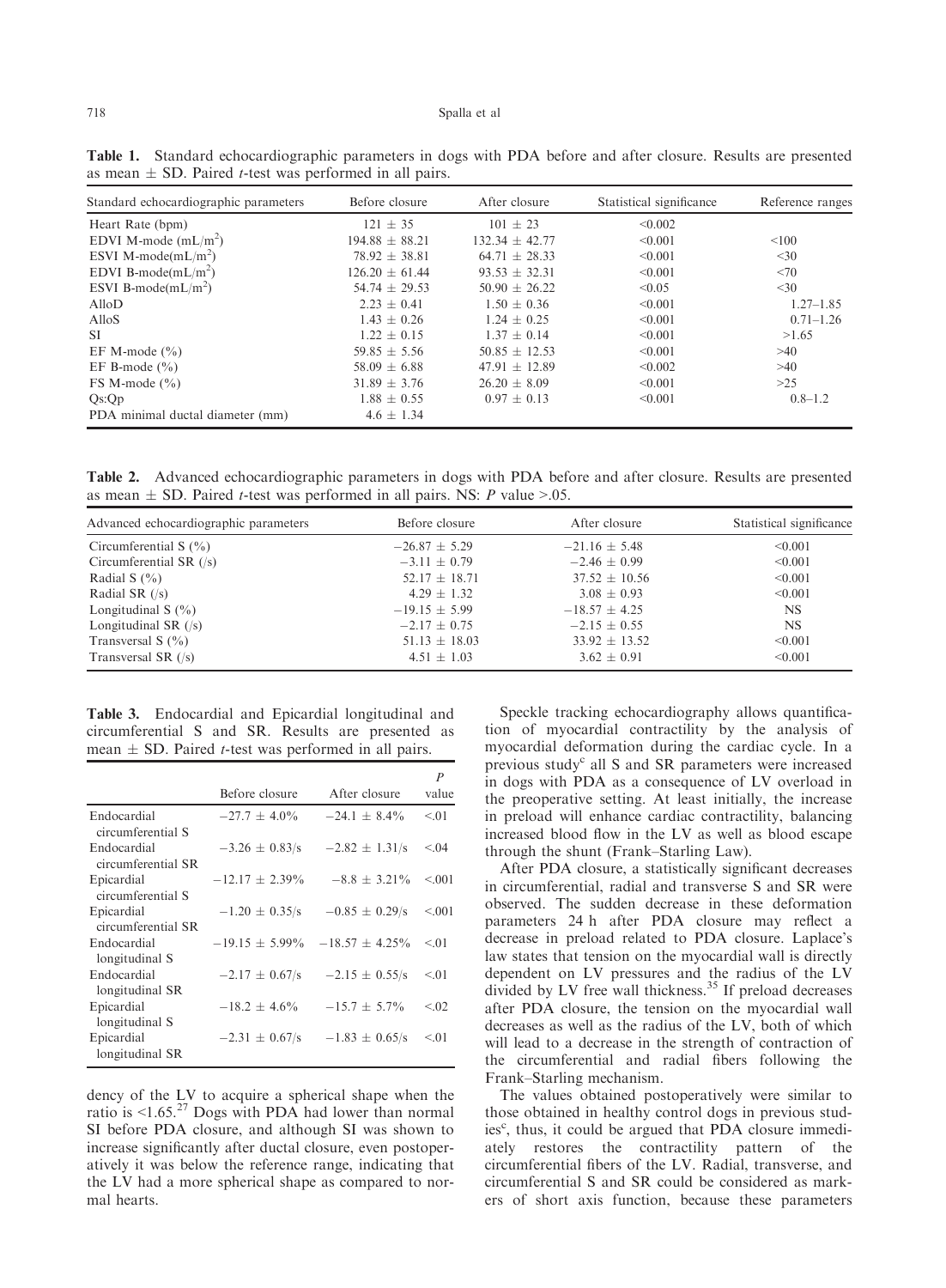| Standard echocardiographic parameters | Before closure     | After closure      | Statistical significance | Reference ranges |
|---------------------------------------|--------------------|--------------------|--------------------------|------------------|
| Heart Rate (bpm)                      | $121 \pm 35$       | $101 \pm 23$       | < 0.002                  |                  |
| EDVI M-mode $(mL/m2)$                 | $194.88 + 88.21$   | $132.34 \pm 42.77$ | < 0.001                  | < 100            |
| ESVI M-mode $(mL/m2)$                 | $78.92 \pm 38.81$  | $64.71 \pm 28.33$  | < 0.001                  | $30$             |
| EDVI B-mode(mL/m <sup>2</sup> )       | $126.20 \pm 61.44$ | $93.53 \pm 32.31$  | < 0.001                  | <70              |
| ESVI B-mode(mL/m <sup>2</sup> )       | $54.74 + 29.53$    | $50.90 + 26.22$    | < 0.05                   | $<$ 30           |
| AlloD                                 | $2.23 + 0.41$      | $1.50 + 0.36$      | < 0.001                  | $1.27 - 1.85$    |
| AlloS                                 | $1.43 \pm 0.26$    | $1.24 \pm 0.25$    | < 0.001                  | $0.71 - 1.26$    |
| -SI                                   | $1.22 + 0.15$      | $1.37 + 0.14$      | < 0.001                  | >1.65            |
| EF M-mode $(\% )$                     | $59.85 \pm 5.56$   | $50.85 \pm 12.53$  | < 0.001                  | >40              |
| EF B-mode $(\% )$                     | $58.09 \pm 6.88$   | $47.91 + 12.89$    | < 0.002                  | >40              |
| FS M-mode $(\% )$                     | $31.89 \pm 3.76$   | $26.20 \pm 8.09$   | < 0.001                  | >25              |
| Qs:Qp                                 | $1.88 \pm 0.55$    | $0.97 \pm 0.13$    | < 0.001                  | $0.8 - 1.2$      |
| PDA minimal ductal diameter (mm)      | $4.6 \pm 1.34$     |                    |                          |                  |

Table 1. Standard echocardiographic parameters in dogs with PDA before and after closure. Results are presented as mean  $\pm$  SD. Paired *t*-test was performed in all pairs.

Table 2. Advanced echocardiographic parameters in dogs with PDA before and after closure. Results are presented as mean  $\pm$  SD. Paired *t*-test was performed in all pairs. NS: *P* value >.05.

| Advanced echocardiographic parameters | Before closure    | After closure     | Statistical significance |
|---------------------------------------|-------------------|-------------------|--------------------------|
| Circumferential $S(\%)$               | $-26.87 \pm 5.29$ | $-21.16 \pm 5.48$ | < 0.001                  |
| Circumferential SR $(\sqrt{s})$       | $-3.11 \pm 0.79$  | $-2.46 \pm 0.99$  | < 0.001                  |
| Radial S $(\% )$                      | $52.17 + 18.71$   | $37.52 \pm 10.56$ | < 0.001                  |
| Radial SR $(\sqrt{s})$                | $4.29 + 1.32$     | $3.08 \pm 0.93$   | < 0.001                  |
| Longitudinal S $(\% )$                | $-19.15 \pm 5.99$ | $-18.57 \pm 4.25$ | <b>NS</b>                |
| Longitudinal SR $(\sqrt{s})$          | $-2.17 \pm 0.75$  | $-2.15 \pm 0.55$  | <b>NS</b>                |
| Transversal S $(\% )$                 | $51.13 \pm 18.03$ | $33.92 + 13.52$   | < 0.001                  |
| Transversal SR $(\sqrt{s})$           | $4.51 \pm 1.03$   | $3.62 \pm 0.91$   | < 0.001                  |

Table 3. Endocardial and Epicardial longitudinal and circumferential S and SR. Results are presented as mean  $\pm$  SD. Paired *t*-test was performed in all pairs.

|                                   |                     |                                       | $\overline{P}$ |
|-----------------------------------|---------------------|---------------------------------------|----------------|
|                                   | Before closure      | After closure                         | value          |
| Endocardial<br>circumferential S  | $-27.7 + 4.0\%$     | $-24.1 + 8.4\%$                       | < 0.01         |
| Endocardial<br>circumferential SR | $-3.26 \pm 0.83$ /s | $-2.82 \pm 1.31$ /s                   | < 0.04         |
| Epicardial<br>circumferential S   | $-12.17 \pm 2.39\%$ | $-8.8 + 3.21\%$                       | < 0.01         |
| Epicardial<br>circumferential SR  | $-1.20 \pm 0.35$ /s | $-0.85 \pm 0.29$ /s                   | < 0.01         |
| Endocardial<br>longitudinal S     |                     | $-19.15 \pm 5.99\% -18.57 \pm 4.25\%$ | < 01           |
| Endocardial<br>longitudinal SR    | $-2.17 \pm 0.67$ /s | $-2.15 \pm 0.55$ /s                   | < 01           |
| Epicardial<br>longitudinal S      | $-18.2 \pm 4.6\%$   | $-15.7 \pm 5.7\%$                     | < 0.02         |
| Epicardial<br>longitudinal SR     | $-2.31 \pm 0.67$ /s | $-1.83 \pm 0.65$ /s                   | < 01           |
|                                   |                     |                                       |                |

dency of the LV to acquire a spherical shape when the ratio is  $\leq 1.65$ .<sup>27</sup> Dogs with PDA had lower than normal SI before PDA closure, and although SI was shown to increase significantly after ductal closure, even postoperatively it was below the reference range, indicating that the LV had a more spherical shape as compared to normal hearts.

Speckle tracking echocardiography allows quantification of myocardial contractility by the analysis of myocardial deformation during the cardiac cycle. In a previous study<sup>c</sup> all S and SR parameters were increased in dogs with PDA as a consequence of LV overload in the preoperative setting. At least initially, the increase in preload will enhance cardiac contractility, balancing increased blood flow in the LV as well as blood escape through the shunt (Frank–Starling Law).

After PDA closure, a statistically significant decreases in circumferential, radial and transverse S and SR were observed. The sudden decrease in these deformation parameters 24 h after PDA closure may reflect a decrease in preload related to PDA closure. Laplace's law states that tension on the myocardial wall is directly dependent on LV pressures and the radius of the LV divided by LV free wall thickness.<sup>35</sup> If preload decreases after PDA closure, the tension on the myocardial wall decreases as well as the radius of the LV, both of which will lead to a decrease in the strength of contraction of the circumferential and radial fibers following the Frank–Starling mechanism.

The values obtained postoperatively were similar to those obtained in healthy control dogs in previous studies<sup>c</sup>, thus, it could be argued that PDA closure immediately restores the contractility pattern of the circumferential fibers of the LV. Radial, transverse, and circumferential S and SR could be considered as markers of short axis function, because these parameters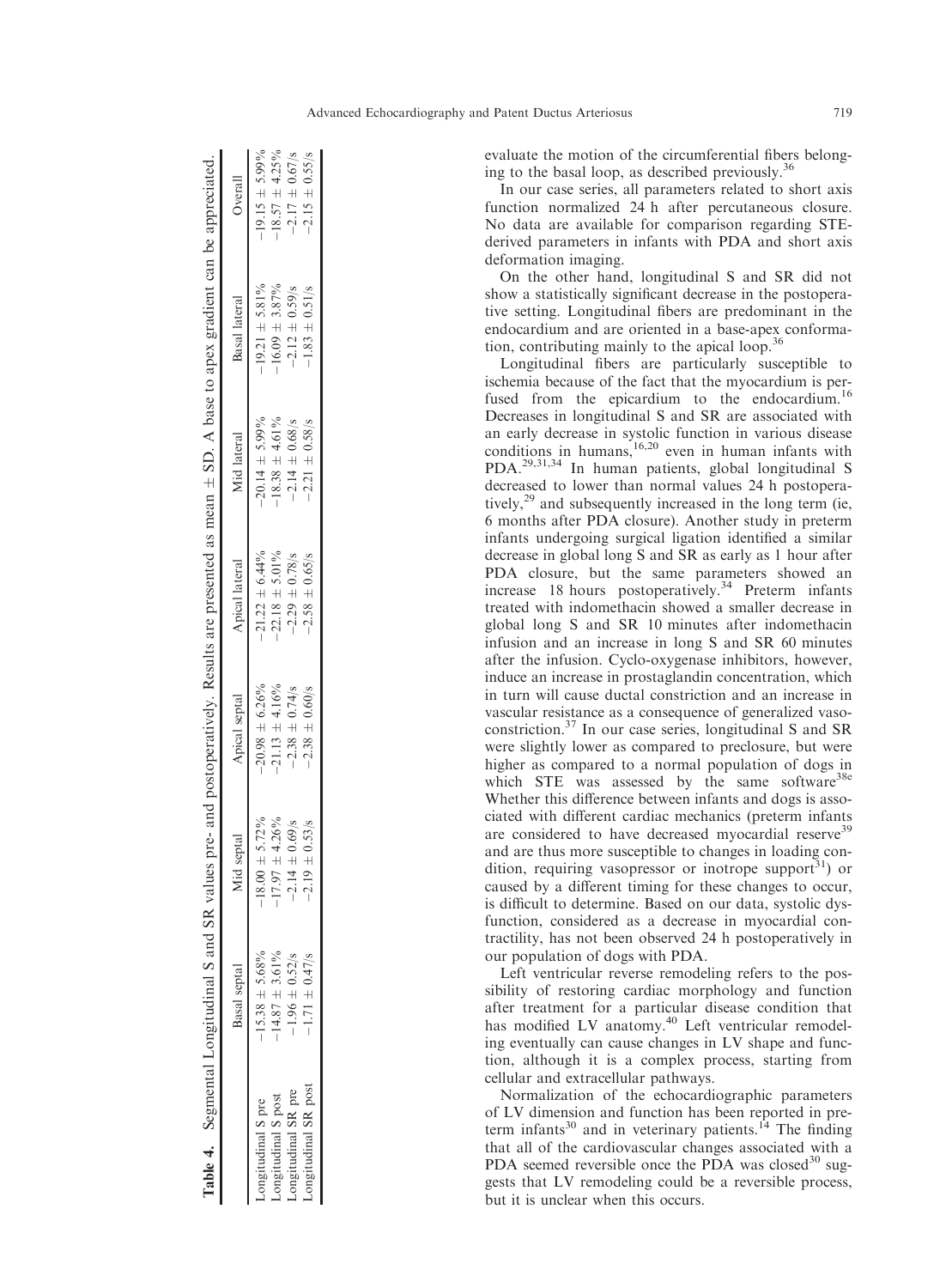|                     |                     |                          |                     |                     | <b>Table 4.</b> Segmental Longitudinal S and SR values pre- and postoperatively. Results are presented as mean $\pm$ SD. A base to apex gradient can be appreciated. |                     |                     |
|---------------------|---------------------|--------------------------|---------------------|---------------------|----------------------------------------------------------------------------------------------------------------------------------------------------------------------|---------------------|---------------------|
|                     | Basal septal        | Mid septal               | Apical septal       | Apical lateral      | Mid lateral                                                                                                                                                          | Basal lateral       | Overall             |
| ongitudinal S pre   | $15.38 \pm 5.68\%$  | $5.72\%$<br>$18.00 \pm$  | $20.98 \pm 6.26\%$  | $-21.22 \pm 6.44\%$ | $20.14 \pm 5.99\%$                                                                                                                                                   | $19.21 \pm 5.81\%$  | $19.15 \pm 5.99\%$  |
| ongitudinal S post  | $14.87 \pm 3.61\%$  | $4.26\%$<br>$17.97 \pm$  | $-21.13 \pm 4.16\%$ | $22.18 \pm 5.01\%$  | $18.38 \pm 4.61\%$                                                                                                                                                   | $16.09 \pm 3.87\%$  | $18.57 \pm 4.25\%$  |
| ongitudinal SR pre  | $-1.96 \pm 0.52$ /s | $0.69$ /s<br>$-2.14 \pm$ | $-2.38 \pm 0.74$ /s | $-2.29 \pm 0.78$ /s | $-2.14 \pm 0.68$ /s                                                                                                                                                  | $-2.12 \pm 0.59$ /s | $-2.17 \pm 0.67$ /s |
| ongitudinal SR post | $-1.71 \pm 0.47$ /s | 0.53/s<br>$2.19 \pm$     | $-2.38 \pm 0.60$ /s | $-2.58 \pm 0.65$ /s | $-2.21 \pm 0.58$ /s                                                                                                                                                  | $-1.83 \pm 0.51$ /s | $-2.15 \pm 0.55$ /s |
|                     |                     |                          |                     |                     |                                                                                                                                                                      |                     |                     |

evaluate the motion of the circumferential fibers belonging to the basal loop, as described previously.<sup>36</sup>

In our case series, all parameters related to short axis function normalized 24 h after percutaneous closure. No data are available for comparison regarding STEderived parameters in infants with PDA and short axis deformation imaging.

On the other hand, longitudinal S and SR did not show a statistically significant decrease in the postoperative setting. Longitudinal fibers are predominant in the endocardium and are oriented in a base-apex conformation, contributing mainly to the apical loop.36

Longitudinal fibers are particularly susceptible to ischemia because of the fact that the myocardium is perfused from the epicardium to the endocardium.<sup>16</sup> Decreases in longitudinal S and SR are associated with an early decrease in systolic function in various disease conditions in humans, $16,20$  even in human infants with PDA.<sup>29,31,34</sup> In human patients, global longitudinal S decreased to lower than normal values 24 h postoperatively,<sup>29</sup> and subsequently increased in the long term (ie, 6 months after PDA closure). Another study in preterm infants undergoing surgical ligation identified a similar decrease in global long S and SR as early as 1 hour after PDA closure, but the same parameters showed an increase 18 hours postoperatively.<sup>34</sup> Preterm infants treated with indomethacin showed a smaller decrease in global long S and SR 10 minutes after indomethacin infusion and an increase in long S and SR 60 minutes after the infusion. Cyclo-oxygenase inhibitors, however, induce an increase in prostaglandin concentration, which in turn will cause ductal constriction and an increase in vascular resistance as a consequence of generalized vasoconstriction.<sup>37</sup> In our case series, longitudinal S and SR were slightly lower as compared to preclosure, but were higher as compared to a normal population of dogs in which STE was assessed by the same software<sup>38e</sup> Whether this difference between infants and dogs is associated with different cardiac mechanics (preterm infants are considered to have decreased myocardial reserve<sup>39</sup> and are thus more susceptible to changes in loading condition, requiring vasopressor or inotrope support<sup>31</sup>) or caused by a different timing for these changes to occur, is difficult to determine. Based on our data, systolic dysfunction, considered as a decrease in myocardial contractility, has not been observed 24 h postoperatively in our population of dogs with PDA.

Left ventricular reverse remodeling refers to the possibility of restoring cardiac morphology and function after treatment for a particular disease condition that has modified LV anatomy.<sup>40</sup> Left ventricular remodeling eventually can cause changes in LV shape and function, although it is a complex process, starting from cellular and extracellular pathways.

Normalization of the echocardiographic parameters of LV dimension and function has been reported in preterm infants<sup>30</sup> and in veterinary patients.<sup>14</sup> The finding that all of the cardiovascular changes associated with a PDA seemed reversible once the PDA was closed $30$  suggests that LV remodeling could be a reversible process, but it is unclear when this occurs.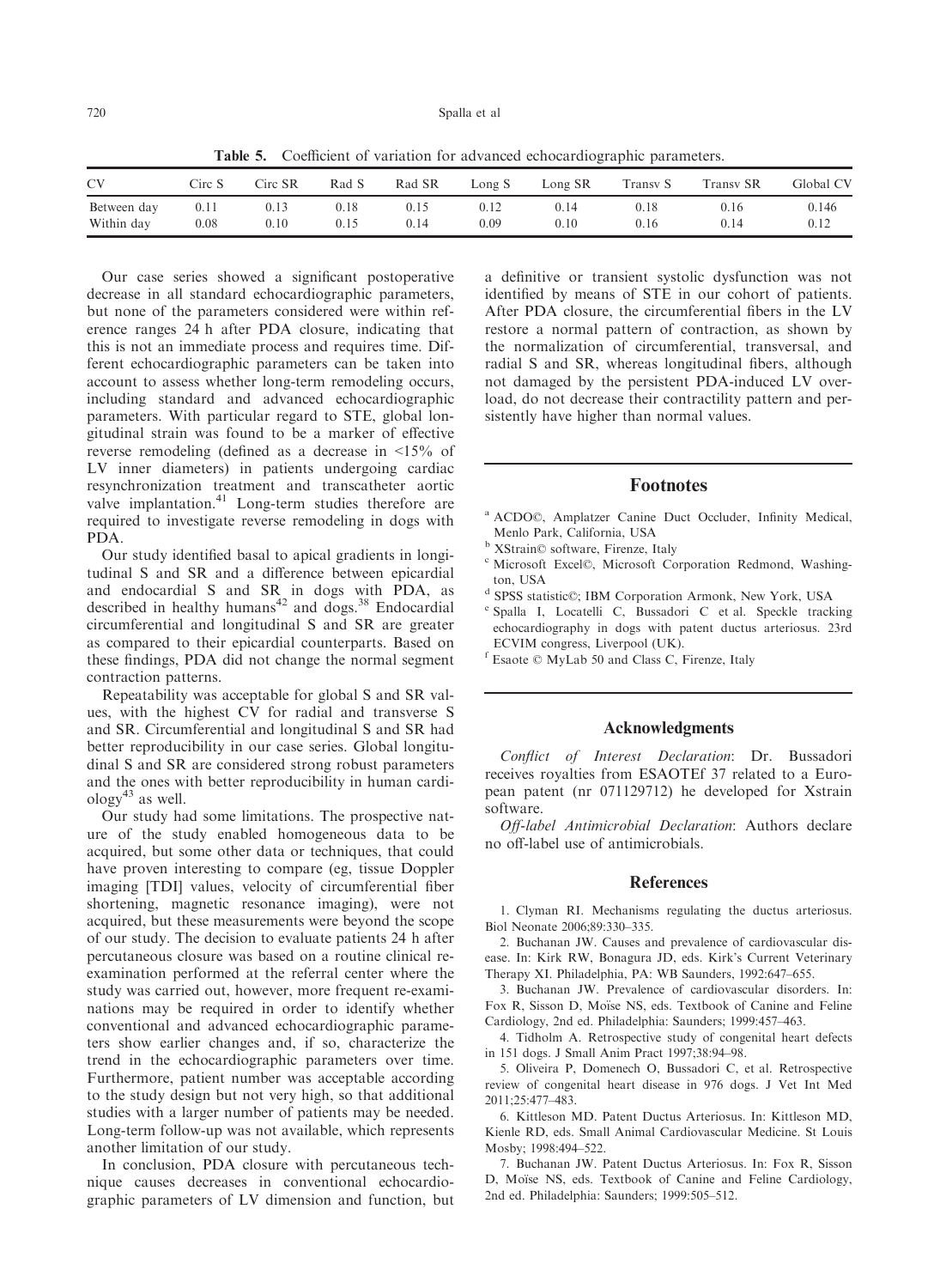Table 5. Coefficient of variation for advanced echocardiographic parameters.

| <b>CV</b>   | Circ S | Circ SR | Rad S | Rad SR | Long S | Long SR | Transv S | Transv SR | Global CV |
|-------------|--------|---------|-------|--------|--------|---------|----------|-----------|-----------|
| Between day | 0.11   | 0.13    | 0.18  | 0.15   | 0.12   | 0.14    | J.18     | 0.16      | 0.146     |
| Within day  | 0.08   | 0.10    | 0.15  | 0.14   | 0.09   | 0.10    | 0.16     | 0.14      | 0.12      |

Our case series showed a significant postoperative decrease in all standard echocardiographic parameters, but none of the parameters considered were within reference ranges 24 h after PDA closure, indicating that this is not an immediate process and requires time. Different echocardiographic parameters can be taken into account to assess whether long-term remodeling occurs, including standard and advanced echocardiographic parameters. With particular regard to STE, global longitudinal strain was found to be a marker of effective reverse remodeling (defined as a decrease in <15% of LV inner diameters) in patients undergoing cardiac resynchronization treatment and transcatheter aortic valve implantation.<sup>41</sup> Long-term studies therefore are required to investigate reverse remodeling in dogs with PDA.

Our study identified basal to apical gradients in longitudinal S and SR and a difference between epicardial and endocardial S and SR in dogs with PDA, as described in healthy humans<sup>42</sup> and dogs.<sup>38</sup> Endocardial circumferential and longitudinal S and SR are greater as compared to their epicardial counterparts. Based on these findings, PDA did not change the normal segment contraction patterns.

Repeatability was acceptable for global S and SR values, with the highest CV for radial and transverse S and SR. Circumferential and longitudinal S and SR had better reproducibility in our case series. Global longitudinal S and SR are considered strong robust parameters and the ones with better reproducibility in human cardi- $\log y^{43}$  as well.

Our study had some limitations. The prospective nature of the study enabled homogeneous data to be acquired, but some other data or techniques, that could have proven interesting to compare (eg, tissue Doppler imaging [TDI] values, velocity of circumferential fiber shortening, magnetic resonance imaging), were not acquired, but these measurements were beyond the scope of our study. The decision to evaluate patients 24 h after percutaneous closure was based on a routine clinical reexamination performed at the referral center where the study was carried out, however, more frequent re-examinations may be required in order to identify whether conventional and advanced echocardiographic parameters show earlier changes and, if so, characterize the trend in the echocardiographic parameters over time. Furthermore, patient number was acceptable according to the study design but not very high, so that additional studies with a larger number of patients may be needed. Long-term follow-up was not available, which represents another limitation of our study.

In conclusion, PDA closure with percutaneous technique causes decreases in conventional echocardiographic parameters of LV dimension and function, but a definitive or transient systolic dysfunction was not identified by means of STE in our cohort of patients. After PDA closure, the circumferential fibers in the LV restore a normal pattern of contraction, as shown by the normalization of circumferential, transversal, and radial S and SR, whereas longitudinal fibers, although not damaged by the persistent PDA-induced LV overload, do not decrease their contractility pattern and persistently have higher than normal values.

# Footnotes

- <sup>a</sup> ACDO©, Amplatzer Canine Duct Occluder, Infinity Medical, Menlo Park, California, USA<br><sup>b</sup> XStrain© software, Firenze, Italy
- 
- <sup>c</sup> Microsoft Excel©, Microsoft Corporation Redmond, Washington, USA
- <sup>d</sup> SPSS statistic©; IBM Corporation Armonk, New York, USA
- <sup>e</sup> Spalla I, Locatelli C, Bussadori C et al. Speckle tracking echocardiography in dogs with patent ductus arteriosus. 23rd ECVIM congress, Liverpool (UK).
- <sup>f</sup> Esaote © MyLab 50 and Class C, Firenze, Italy

#### Acknowledgments

Conflict of Interest Declaration: Dr. Bussadori receives royalties from ESAOTEf 37 related to a European patent (nr 071129712) he developed for Xstrain software.

Off-label Antimicrobial Declaration: Authors declare no off-label use of antimicrobials.

#### **References**

1. Clyman RI. Mechanisms regulating the ductus arteriosus. Biol Neonate 2006;89:330–335.

2. Buchanan JW. Causes and prevalence of cardiovascular disease. In: Kirk RW, Bonagura JD, eds. Kirk's Current Veterinary Therapy XI. Philadelphia, PA: WB Saunders, 1992:647–655.

3. Buchanan JW. Prevalence of cardiovascular disorders. In: Fox R, Sisson D, Moïse NS, eds. Textbook of Canine and Feline Cardiology, 2nd ed. Philadelphia: Saunders; 1999:457–463.

4. Tidholm A. Retrospective study of congenital heart defects in 151 dogs. J Small Anim Pract 1997;38:94–98.

5. Oliveira P, Domenech O, Bussadori C, et al. Retrospective review of congenital heart disease in 976 dogs. J Vet Int Med 2011;25:477–483.

6. Kittleson MD. Patent Ductus Arteriosus. In: Kittleson MD, Kienle RD, eds. Small Animal Cardiovascular Medicine. St Louis Mosby; 1998:494–522.

7. Buchanan JW. Patent Ductus Arteriosus. In: Fox R, Sisson D, Moïse NS, eds. Textbook of Canine and Feline Cardiology, 2nd ed. Philadelphia: Saunders; 1999:505–512.